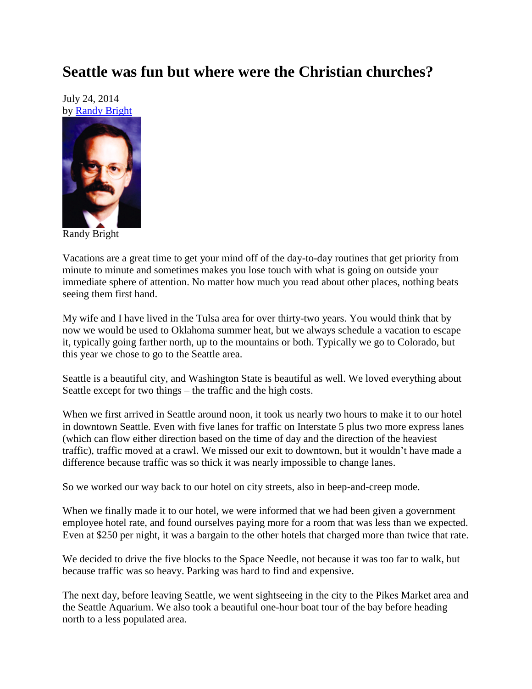## **Seattle was fun but where were the Christian churches?**

July 24, 2014 by [Randy Bright](http://tulsabeacon.com/writers/randy-bright/)



Randy Bright

Vacations are a great time to get your mind off of the day-to-day routines that get priority from minute to minute and sometimes makes you lose touch with what is going on outside your immediate sphere of attention. No matter how much you read about other places, nothing beats seeing them first hand.

My wife and I have lived in the Tulsa area for over thirty-two years. You would think that by now we would be used to Oklahoma summer heat, but we always schedule a vacation to escape it, typically going farther north, up to the mountains or both. Typically we go to Colorado, but this year we chose to go to the Seattle area.

Seattle is a beautiful city, and Washington State is beautiful as well. We loved everything about Seattle except for two things – the traffic and the high costs.

When we first arrived in Seattle around noon, it took us nearly two hours to make it to our hotel in downtown Seattle. Even with five lanes for traffic on Interstate 5 plus two more express lanes (which can flow either direction based on the time of day and the direction of the heaviest traffic), traffic moved at a crawl. We missed our exit to downtown, but it wouldn't have made a difference because traffic was so thick it was nearly impossible to change lanes.

So we worked our way back to our hotel on city streets, also in beep-and-creep mode.

When we finally made it to our hotel, we were informed that we had been given a government employee hotel rate, and found ourselves paying more for a room that was less than we expected. Even at \$250 per night, it was a bargain to the other hotels that charged more than twice that rate.

We decided to drive the five blocks to the Space Needle, not because it was too far to walk, but because traffic was so heavy. Parking was hard to find and expensive.

The next day, before leaving Seattle, we went sightseeing in the city to the Pikes Market area and the Seattle Aquarium. We also took a beautiful one-hour boat tour of the bay before heading north to a less populated area.